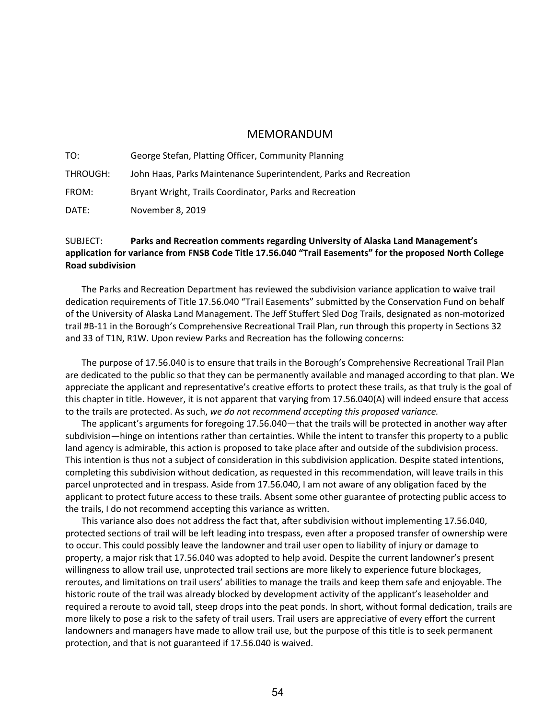## MEMORANDUM

TO: George Stefan, Platting Officer, Community Planning THROUGH: John Haas, Parks Maintenance Superintendent, Parks and Recreation FROM: Bryant Wright, Trails Coordinator, Parks and Recreation DATE: November 8, 2019

## SUBJECT: **Parks and Recreation comments regarding University of Alaska Land Management's application for variance from FNSB Code Title 17.56.040 "Trail Easements" for the proposed North College Road subdivision**

The Parks and Recreation Department has reviewed the subdivision variance application to waive trail dedication requirements of Title 17.56.040 "Trail Easements" submitted by the Conservation Fund on behalf of the University of Alaska Land Management. The Jeff Stuffert Sled Dog Trails, designated as non-motorized trail #B-11 in the Borough's Comprehensive Recreational Trail Plan, run through this property in Sections 32 and 33 of T1N, R1W. Upon review Parks and Recreation has the following concerns:

The purpose of 17.56.040 is to ensure that trails in the Borough's Comprehensive Recreational Trail Plan are dedicated to the public so that they can be permanently available and managed according to that plan. We appreciate the applicant and representative's creative efforts to protect these trails, as that truly is the goal of this chapter in title. However, it is not apparent that varying from 17.56.040(A) will indeed ensure that access to the trails are protected. As such, *we do not recommend accepting this proposed variance.*

The applicant's arguments for foregoing 17.56.040—that the trails will be protected in another way after subdivision—hinge on intentions rather than certainties. While the intent to transfer this property to a public land agency is admirable, this action is proposed to take place after and outside of the subdivision process. This intention is thus not a subject of consideration in this subdivision application. Despite stated intentions, completing this subdivision without dedication, as requested in this recommendation, will leave trails in this parcel unprotected and in trespass. Aside from 17.56.040, I am not aware of any obligation faced by the applicant to protect future access to these trails. Absent some other guarantee of protecting public access to the trails, I do not recommend accepting this variance as written.

This variance also does not address the fact that, after subdivision without implementing 17.56.040, protected sections of trail will be left leading into trespass, even after a proposed transfer of ownership were to occur. This could possibly leave the landowner and trail user open to liability of injury or damage to property, a major risk that 17.56.040 was adopted to help avoid. Despite the current landowner's present willingness to allow trail use, unprotected trail sections are more likely to experience future blockages, reroutes, and limitations on trail users' abilities to manage the trails and keep them safe and enjoyable. The historic route of the trail was already blocked by development activity of the applicant's leaseholder and required a reroute to avoid tall, steep drops into the peat ponds. In short, without formal dedication, trails are more likely to pose a risk to the safety of trail users. Trail users are appreciative of every effort the current landowners and managers have made to allow trail use, but the purpose of this title is to seek permanent protection, and that is not guaranteed if 17.56.040 is waived.